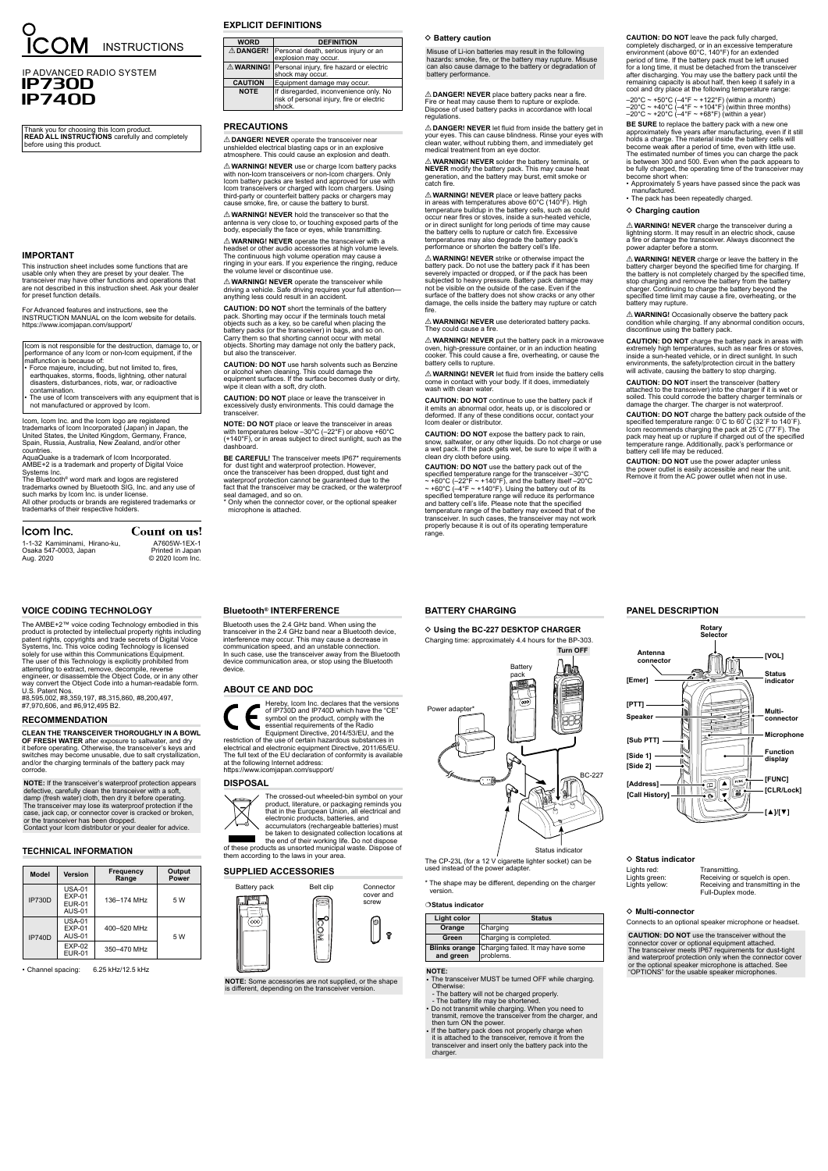## **PRECAUTIONS**

R**DANGER! NEVER** operate the transceiver near unshielded electrical blasting caps or in an explosive atmosphere. This could cause an explosion and death.

 $\triangle$  **WARNING! NEVER** hold the transceiver so that the antenna is very close to, or touching exposed parts of the body, especially the face or eyes, while transmitting.

R**WARNING! NEVER** use or charge Icom battery packs with non-Icom transceivers or non-Icom chargers. Only Icom battery packs are tested and approved for use with Icom transceivers or charged with Icom chargers. Using third-party or counterfeit battery packs or chargers may cause smoke, fire, or cause the battery to burst.

 $\triangle$  **WARNING! NEVER** operate the transceiver with a headset or other audio accessories at high volume levels. The continuous high volume operation may cause a ringing in your ears. If you experience the ringing, reduce the volume level or discontinue use.

∆ **WARNING! NEVER** operate the transceiver while<br>driving a vehicle. Safe driving requires your full attention anything less could result in an accident.

**CAUTION: DO NOT** place or leave the transceiver in excessively dusty environments. This could damage the transceive

**BE CAREFUL!** The transceiver meets IP67\* requirements for dust tight and waterproof protection. However, once the transceiver has been dropped, dust tight and waterproof protection cannot be guaranteed due to the fact that the transceiver may be cracked, or the waterproof seal damaged, and so on. \* Only when the connector cover, or the optional speaker

**CAUTION: DO NOT** short the terminals of the battery pack. Shorting may occur if the terminals touch metal objects such as a key, so be careful when placing the battery packs (or the transceiver) in bags, and so on. Carry them so that shorting cannot occur with metal objects. Shorting may damage not only the battery pack, but also the transceiver.

- Force majeure, including, but not limited to, fires, earthquakes, storms, floods, lightning, other natural disasters, disturbances, riots, war, or radioactive contamination.
- The use of Icom transceivers with any equipment that is not manufactured or approved by Icom.

**NOTE:** If the transceiver's waterproof protection appears defective, carefully clean the transceiver with a soft, damp (fresh water) cloth, then dry it before operating. The transceiver may lose its waterproof protection if the case, jack cap, or connector cover is cracked or broken, or the transceiver has been dropped. Contact your Icom distributor or your dealer for advice.

**CAUTION: DO NOT** use harsh solvents such as Benzine or alcohol when cleaning. This could damage the equipment surfaces. If the surface becomes dusty or dirty, wipe it clean with a soft, dry cloth.

**NOTE: DO NOT** place or leave the transceiver in areas with temperatures below –30°C (–22°F) or above +60°C (+140°F), or in areas subject to direct sunlight, such as the dashboard.

microphone is attached.

## $\diamond$  Battery caution

 $\triangle$  DANGER! NEVER place battery packs near a fire. Fire or heat may cause them to rupture or explode. Dispose of used battery packs in accordance with local regulations.

Icom is not responsible for the destruction, damage to, or performance of any Icom or non-Icom equipment, if the malfunction is because of:

 $\triangle$  **DANGER! NEVER** let fluid from inside the battery get in your eyes. This can cause blindness. Rinse your eyes with clean water, without rubbing them, and immediately get medical treatment from an eye doctor.

**A WARNING! NEVER** solder the battery terminals, or **NEVER** modify the battery pack. This may cause heat generation, and the battery may burst, emit smoke or catch fire.

## **RECOMMENDATION**

**CLEAN THE TRANSCEIVER THOROUGHLY IN A BOWL OF FRESH WATER** after exposure to saltwater, and dry it before operating. Otherwise, the transceiver's keys and switches may become unusable, due to salt crystallization, and/or the charging terminals of the battery pack may corrode.

∆ **WARNING! NEVER** strike or otherwise impact the<br>battery pack. Do not use the battery pack if it has been severely impacted or dropped, or if the pack has been subjected to heavy pressure. Battery pack damage may not be visible on the outside of the case. Even if the surface of the battery does not show cracks or any other damage, the cells inside the battery may rupture or catch fire.

 $\triangle$  **WARNING! NEVER** use deteriorated battery packs. They could cause a fire.

 $\triangle$  **WARNING! NEVER** put the battery pack in a microwave oven, high-pressure container, or in an induction heating cooker. This could cause a fire, overheating, or cause the battery cells to rupture.

 $\triangle$  WARNING! NEVER let fluid from inside the battery cells come in contact with your body. If it does, immediately wash with clean water

Icom, Icom Inc. and the Icom logo are registered trademarks of Icom Incorporated (Japan) in Japan, the United States, the United Kingdom, Germany, France, Spain, Russia, Australia, New Zealand, and/or other countries.

AquaQuake is a trademark of Icom Incorporated. AMBE+2 is a trademark and property of Digital Voice Systems Inc.

The Bluetooth® word mark and logos are registered trademarks owned by Bluetooth SIG, Inc. and any use of such marks by Icom Inc. is under license. All other products or brands are registered trademarks or trademarks of their respective holders.

## Icom Inc.

## **EXPLICIT DEFINITIONS**

| <b>WORD</b>      | <b>DEFINITION</b>                                                                             |
|------------------|-----------------------------------------------------------------------------------------------|
| <b>△ DANGER!</b> | Personal death, serious injury or an<br>explosion may occur.                                  |
|                  | △ WARNING! Personal injury, fire hazard or electric<br>shock may occur.                       |
| <b>CAUTION</b>   | Equipment damage may occur.                                                                   |
| <b>NOTE</b>      | If disregarded, inconvenience only. No<br>risk of personal injury, fire or electric<br>shock. |
|                  |                                                                                               |

Misuse of Li-ion batteries may result in the following hazards: smoke, fire, or the battery may rupture. Misuse can also cause damage to the battery or degradation of battery performance.

> **CAUTION: DO NOT** charge the battery pack in areas with<br>extremely high temperatures, such as near fires or stoves,<br>inside a sun-heated vehicle, or in direct sunlight. In such<br>environments, the safety/protection circuit in will activate, causing the battery to stop charging.

**CAUTION: DO NOT** use the power adapter unless the power outlet is easily accessible and near the unit. Remove it from the AC power outlet when not in use.

R**WARNING! NEVER** place or leave battery packs in areas with temperatures above 60°C (140°F). High temperature buildup in the battery cells, such as could occur near fires or stoves, inside a sun-heated vehicle, or in direct sunlight for long periods of time may cause the battery cells to rupture or catch fire. Excessive temperatures may also degrade the battery pack's performance or shorten the battery cell's life.

 $\diamond$  Using the BC-227 DESKTOP CHARGER Charging time: approximately 4.4 hours for the BP-303.

The CP-23L (for a 12 V cigarette lighter socket) can be used instead of the power adapter Status indicato

ding on the ch

The transceiver MUST be turned OFF while charging. Otherwise:

**CAUTION: DO NOT** continue to use the battery pack if it emits an abnormal odor, heats up, or is discolored or deformed. If any of these conditions occur, contact your Icom dealer or distributor.

**CAUTION: DO NOT** expose the battery pack to rain, snow, saltwater, or any other liquids. Do not charge or use a wet pack. If the pack gets wet, be sure to wipe it with a clean dry cloth before using.

**CAUTION: DO NOT** use the battery pack out of the specified temperature range for the transceiver –30°C<br>∼ +60°C (–2°F ∼ +140°F), and the battery itself –20°C<br>∼ +60°C (–4°F ~ +140°F). Using the battery out of its<br>specified temperature range will reduce its performance and battery cell's life. Please note that the specified temperature range of the battery may exceed that of the transceiver. In such cases, the transceiver may not work properly because it is out of its operating temperature range.

Count on us! A7605W-1EX-1

## **CAUTION: DO NOT** leave the pack fully charged, completely discharged, or in an excessive temperature environment (above 60°C, 140°F) for an extended period of time. If the battery pack must be left unused for a long time, it must be detached from the transceiver after discharging. You may use the battery pack until the remaining capacity is about half, then keep it safely in a cool and dry place at the following temperature range:

–20°C ~ +50°C (–4°F ~ +122°F) (within a month) –20°C ~ +40°C (–4°F ~ +104°F) (within three months) –20°C ~ +20°C (–4°F ~ +68°F) (within a year)

**BE SURE** to replace the battery pack with a new one approximately five years after manufacturing, even if it still holds a charge. The material inside the battery cells will become weak after a period of time, even with little use. The estimated number of times you can charge the pack is between 300 and 500. Even when the pack appears to be fully charged, the operating time of the transceiver may become short when:

- Approximately 5 years have passed since the pack was
	- manufactured. The pack has been repeatedly charged.

#### $\diamond$  Charging caution

R**WARNING! NEVER** charge the transceiver during a lightning storm. It may result in an electric shock, cause a fire or damage the transceiver. Always disconnect the power adapter before a storm.

 $\triangle$  **WARNING! NEVER** charge or leave the battery in the battery charger beyond the specified time for charging. If the battery is not completely charged by the specified time, stop charging and remove the battery from the battery charger. Continuing to charge the battery beyond the specified time limit may cause a fire, overheating, or the battery may rupture.

∆ **WARNING!** Occasionally observe the battery pack<br>condition while charging. If any abnormal condition occurs,<br>discontinue using the battery pack.

**CAUTION: DO NOT** insert the transceiver (battery attached to the transceiver) into the charger if it is wet or soiled. This could corrode the battery charger terminals or damage the charger. The charger is not waterproof.

**CAUTION: DO NOT** charge the battery pack outside of the specified temperature range: 0˚C to 60˚C (32˚F to 140˚F). Icom recommends charging the pack at 25˚C (77˚F). The pack may heat up or rupture if charged out of the specified temperature range. Additionally, pack's performance or battery cell life may be reduced.

This instruction sheet includes some functions that are usable only when they are preset by your dealer. The transceiver may have other functions and operations that are not described in this instruction sheet. Ask your dealer for preset function details.

For Advanced features and instructions, see the INSTRUCTION MANUAL on the Icom website for details. https://www.icomjapan.com/support/

# **SUPPLIED ACCESSORIES**

Belt clip Connector

**NOTE:** Some accessories are not supplied, or the shape is different, depending on the transceiver version.

#### **ABOUT CE AND DOC**

Hereby, Icom Inc. declares that the versions of IP730D and IP740D which have the "CE"

symbol on the product, comply with the essential requirements of the Radio Equipment Directive, 2014/53/EU, and the restriction of the use of certain hazardous substances in electrical and electronic equipment Directive, 2011/65/EU. The full text of the EU declaration of conformity is available at the following Internet address: https://www.icomjapan.com/support/

## **DISPOSAL**

The crossed-out wheeled-bin symbol on your product, literature, or packaging reminds you that in the European Union, all electrical and



be taken to designated collection locations at the end of their working life. Do not dispose of these products as unsorted municipal waste. Dispose of them according to the laws in your area.

## **VOICE CODING TECHNOLOGY**

The AMBE+2™ voice coding Technology embodied in this product is protected by intellectual property rights including patent rights, copyrights and trade secrets of Digital Voice Systems, Inc. This voice coding Technology is licensed solely for use within this Communications Equipment. The user of this Technology is explicitly prohibited from attempting to extract, remove, decompile, reverse engineer, or disassemble the Object Code, or in any other way convert the Object Code into a human-readable form. U.S. Patent Nos.

#8,595,002, #8,359,197, #8,315,860, #8,200,497, #7,970,606, and #6,912,495 B2.

## **BATTERY CHARGING**

version.

#### **Status indicator**

| Light color                       | <b>Status</b>                                  |
|-----------------------------------|------------------------------------------------|
| Orange                            | Charging                                       |
| Green                             | Charging is completed.                         |
| <b>Blinks orange</b><br>and green | Charging failed. It may have some<br>problems. |

#### **NOTE:**

- The battery will not be charged properly.
- The battery life may be shortened.
- Do not transmit while charging. When you need to transmit, remove the transceiver from the charger, and then turn ON the power.
- If the battery pack does not properly charge when it is attached to the transceiver, remove it from the transceiver and insert only the battery pack into the charger.



cover and screw

ନ୍ମ

**Bluetooth® INTERFERENCE**

Bluetooth uses the 2.4 GHz band. When using the transceiver in the 2.4 GHz band near a Bluetooth device, interference may occur. This may cause a decrease in communication speed, and an unstable connection. In such case, use the transceiver away from the Bluetooth device communication area, or stop using the Bluetooth device.

## **TECHNICAL INFORMATION**

| <b>IP730D</b> | $USA-01$<br>$EXP-01$<br><b>EUR-01</b><br>AUS-01 | 136-174 MHz | 5 W |
|---------------|-------------------------------------------------|-------------|-----|
| <b>IP740D</b> | $USA-01$<br>$EXP-01$<br>AUS-01                  | 400-520 MHz | 5 W |
|               | $EXP-02$<br><b>EUR-01</b>                       | 350-470 MHz |     |

• Channel spacing: 6.25 kHz/12.5 kHz

**PANEL DESCRIPTION**

D **Status indicator**

Lights red: Transmitting.<br>
Lights green: Receiving or Receiving or squelch is open.

Lights yellow: Receiving and transmitting in the Full-Duplex mode.

#### D **Multi-connector**

Connects to an optional speaker microphone or headset.

**CAUTION: DO NOT** use the transceiver without the connector cover or optional equipment attached. The transceiver meets IP67 requirements for dust-tight and waterproof protection only when the connector cover or the optional speaker microphone is attached. See "OPTIONS" for the usable speaker microphones.



Thank you for choosing this Icom product. **READ ALL INSTRUCTIONS** carefully and completely before using this product.

## **IMPORTANT**

# IP ADVANCED RADIO SYSTEM IP730D IP740D

1-1-32 Kamiminami, Hirano-ku, Osaka 547-0003, Japan Aug. 2020

Printed in Japan © 2020 Icom Inc.